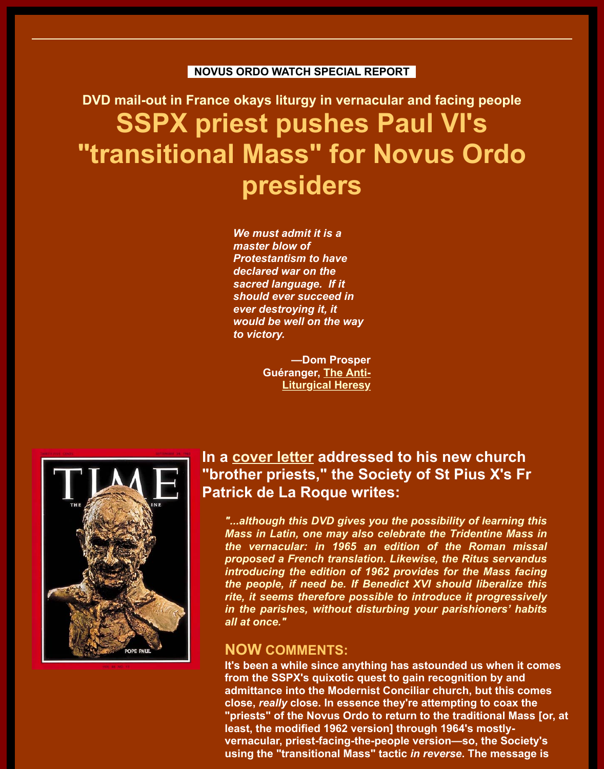# **DVD mail-out in France okays liturgy in vernacular and facing people SSPX priest pushes Paul VI's "transitional Mass" for Novus Ordo presiders**

*We must admit it is a master blow of Protestantism to have declared war on the sacred language. If it should ever succeed in ever destroying it, it would be well on the way to victory.* 

> **—Dom Prosper Guéranger, The Anti-Liturgical Heresy**



## **In a cover letter addressed to his new church** "brother pr[iests," the So](http://www.catholicapologetics.info/modernproblems/newmass/antigy.htm)ciety of St Pius X's **Patrick de La Roque writes:**

"...although this DVD gives you the possibility of learning **Mass in Latin, one may also celebrate the Tridentine M** *the vernacular: in 1965 an edition of the Roman p[roposed a Frenc](http://iteadthomam.blogspot.com/2007/02/sspx-to-diocesan-french-clergy-how-to.html)h translation. Likewise, the Ritus servangers introducing the edition of 1962 provides for the Mass* the people, if need be. If Benedict XVI should liberalized rite, it seems therefore possible to introduce it progres *in the parishes, without disturbing your parishioners' all at once."*

### **NOW COMMENTS:**

It's been a while since anything has astounded us when from the SSPX's quixotic quest to gain recognition by a **admittance into the Modernist Conciliar church, but this comes close, really close. In essence they're attempting to coarally** "priests" of the Novus Ordo to return to the traditional **N least, the modified 1962 version] through 1964's mostlyvernacular, priest-facing-the-people version-so, the So using the "transitional Mass" tactic in reverse. The mes-**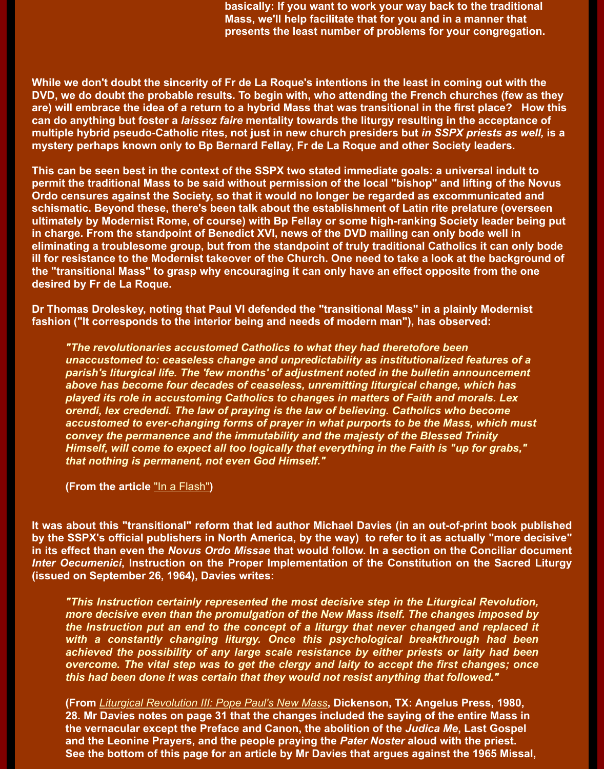**are) will embrace the idea of a return to a hybrid Mass that was transitional in the first place? How this can do anything but foster a** *laissez faire* **mentality towards the liturgy resulting in the accept multiple hybrid pseudo-Catholic rites, not just in new church presiders but** *in SSPX priests as well,* **is a mystery perhaps known only to Bp Bernard Fellay, Fr de La Roque and other Society leaders.**

**This can be seen best in the context of the SSPX two stated immediate goals: a universal ind permit the traditional Mass to be said without permission of the local "bishop" and lifting of t Ordo censures against the Society, so that it would no longer be regarded as excommunicate** schismatic. Beyond these, there's been talk about the establishment of Latin rite prelature (over **ultimately by Modernist Rome, of course) with Bp Fellay or some high-ranking Society leader being put** in charge. From the standpoint of Benedict XVI, news of the DVD mailing can only bode well in **eliminating a troublesome group, but from the standpoint of truly traditional Catholics it can ill for resistance to the Modernist takeover of the Church. One need to take a look at the back** the "transitional Mass" to grasp why encouraging it can only have an effect opposite from the **desired by Fr de La Roque.**

**Dr Thomas Droleskey, noting that Paul VI defended the "transitional Mass" in a plainly Moder fashion ("It corresponds to the interior being and needs of modern man"), has observed:**

*"The revolutionaries accustomed Catholics to what they had theretofore been* **unaccustomed to: ceaseless change and unpredictability as institutionalized features** parish's liturgical life. The 'few months' of adjustment noted in the bulletin announcem *above has become four decades of ceaseless, unremitting liturgical change, which has played its role in accustoming Catholics to changes in matters of Faith and morals. Lex orendi, lex credendi. The law of praying is the law of believing. Catholics who become* accustomed to ever-changing forms of prayer in what purports to be the Mass, which i *convey the permanence and the immutability and the majesty of the Blessed Trinity Himself, will come to expect all too logically that everything in the Faith is "up for grab that nothing is permanent, not even God Himself."*

**(From the article** "In a Flash"**)**

**It was about this "transitional" reform that led author Michael Davies (in an out-of-print book by the SSPX's official publishers in North America, by the way) to refer to it as actually "more detailly" in its effect than even the** *Novus Ordo Missae* **that would follow. In a section on the Concilia** *Inter Oecumenici*, Instruction on the Proper Implementation of the Constitution on the Sac **(issued on September 26, 1964), Davies writes:**

**"This Instruction [certainly re](http://www.christorchaos.com/InaFlash.htm)presented the most decisive step in the Liturgical Revolution** *more decisive even than the promulgation of the New Mass itself. The changes impose* the Instruction put an end to the concept of a liturgy that never changed and replac with a constantly changing liturgy. Once this psychological breakthrough had achieved the possibility of any large scale resistance by either priests or laity had *overcome. The vital step was to get the clergy and laity to accept the first changes; this had been done it was certain that they would not resist anything that followed."*

**(From** *Liturgical Revolution III: Pope Paul's New Mass***, Dickenson, TX: Angelus Press, 1980, 28. Mr Davies notes on page 31 that the changes included the saying of the entire Mass in the vernacular except the Preface and Canon, the abolition of the** *Judica Me***, Last Gos and the Leonine Prayers, and the people praying the** *Pater Noster* **aloud with the priest.** See the bottom of this page for an article by Mr Davies that argues against the 1965 Mig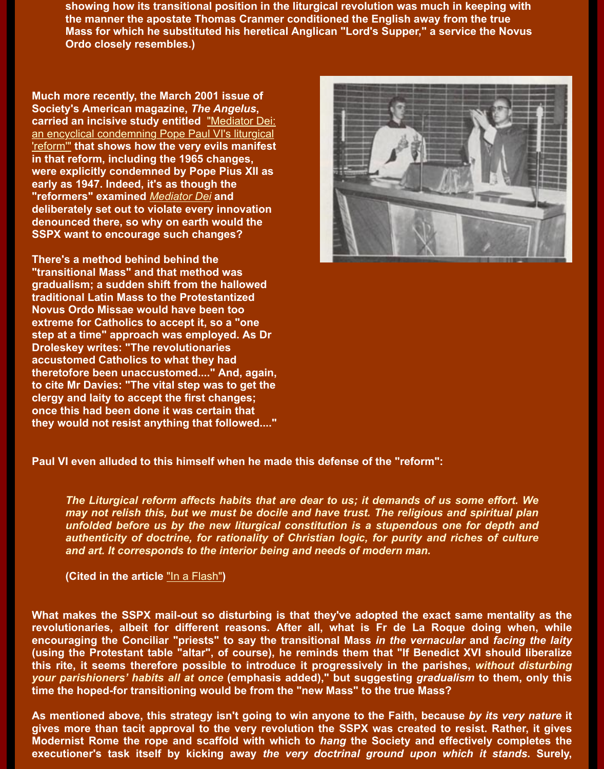**Society's American magazine,** *The Angelus***, carried an incisive study entitled** "Mediator Dei: an encyclical condemning Pope Paul VI's liturgical 'reform'" **that shows how the very evils manifest in that reform, including the 1965 changes, were explicitly condemned by Pope Pius XII as early as 1947. Indeed, it's as though the "reformers" examined** *Mediator Dei* **and deliberately set out to violate every innovation denounced there, so why on earth would the [SSPX want to encourage such changes?](http://www.realnews247.com/sspx_mediator_dei.htm)**



**There's a method behind behind the "transitional Mass" and that method was gradualism; a sudden shift from the hallowed traditional Latin Mass [to the Protes](http://www.papalencyclicals.net/Pius12/P12MEDIA.HTM)tantized Novus Ordo Missae would have been too extreme for Catholics to accept it, so a "one step at a time" approach was employed. As Dr Droleskey writes: "The revolutionaries accustomed Catholics to what they had theretofore been unaccustomed...." And, again, to cite Mr Davies: "The vital step was to get the clergy and laity to accept the first changes; once this had been done it was certain that they would not resist anything that followed...."**

**Paul VI even alluded to this himself when he made this defense of the "reform":**

*The Liturgical reform affects habits that are dear to us; it demands of us some effor*. *may not relish this, but we must be docile and have trust. The religious and spiritual unfolded before us by the new liturgical constitution is a stupendous one for depth* authenticity of doctrine, for rationality of Christian logic, for purity and riches of cu *and art. It corresponds to the interior being and needs of modern man.*

**(Cited in the article** "In a Flash"**)**

**What makes the SSPX mail-out so disturbing is that they've adopted the exact same ment** revolutionaries, albeit for different reasons. After all, what is Fr de La Roque doing w **encouraging the Conciliar "priests" to say the transitional Mass** *in the vernacular* **and** *faci* (using the Protestant table "altar", of course), he reminds them that "If Benedict XVI shoul this rite, it seems therefore possible to introduce it progressively in the parishes, without *your parishioners' habits [all at once](http://www.christorchaos.com/InaFlash.htm)* (emphasis added)," but suggesting *gradualism* to ther **time the hoped-for transitioning would be from the "new Mass" to the true Mass?**

As mentioned above, this strategy isn't going to win anyone to the Faith, because *by its ve* gives more than tacit approval to the very revolution the SSPX was created to resist. Rath **Modernist Rome the rope and scaffold with which to** *hang* **the Society and effectively cor executioner's task itself by kicking away the very doctrinal ground upon which it stands**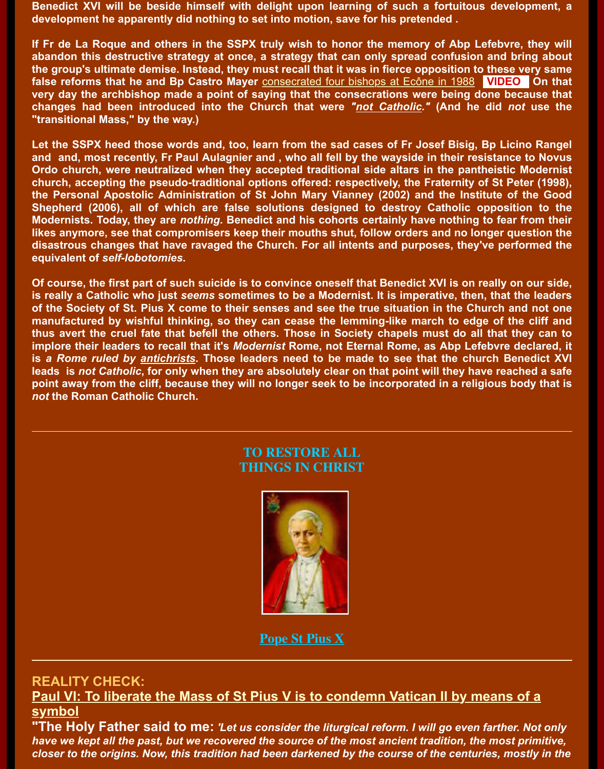**changes had been introduced into the Church that were** *"not Catholic."* **(And he did** *not* **use the "transitional Mass," by the way.)**

Let the SSPX heed those words and, too, learn from the sad cases of Fr Josef Bisig, Bp Lic and and, most recently, Fr Paul Aulagnier and, who all fell by the wayside in their resistand **Ordo church, were neutralized when they accepted traditional side altars in the pantheistic church, accepting the pseudo-traditional op[tions offered: respectively, the Fraternity](http://www.youtube.com/watch?v=gAr0psfJGeg) of St P** the Personal Apostolic Administration of St John Mary Vianney (2002) and the Institute o Shepherd (2006), all of which are false solutions designed to destroy Catholic opposition to the the **Modernists. Today, they are** *nothing***. Benedict and his cohorts certainly have nothing to fear in the integration of the integration of the integration of the integration of the integration of the integration of the integ** likes anymore, see that compromisers keep their mouths shut, follow orders and no longer **q** disastrous changes that have ravaged the Church. For all intents and purposes, they've per **equivalent of** *self-lobotomies***.**

**Of course, the first part of such suicide is to convince oneself that Benedict XVI is on really on is really a Catholic who just** *seems* **sometimes to be a Modernist. It is imperative, then, that** of the Society of St. Pius X come to their senses and see the true situation in the Church and the not one manufactured by wishful thinking, so they can cease the lemming-like march to edge of the thus avert the cruel fate that befell the others. Those in Society chapels must do all that t implore their leaders to recall that it's *Modernist* Rome, not Eternal Rome, as Abp Lefebvre **is a Rome ruled by antichrists. Those leaders need to be made to see that the church Benedict XI** leads is not Catholic, for only when they are absolutely clear on that point will they have rea point away from the cliff, because they will no longer seek to be incorporated in a religious **by** point *not* **the Roman Catholic Church.** 

#### **TO RESTORE ALL THINGS IN CHRIST**



**Pope St Pius X**

#### **REALITY CHECK:**

**Paul VI: To liberate the Mass of St P[ius V is to con](http://novusordowatch.org/stpiusx.jpg)demn Vatican II by means symbol**

"The Holy Father said to me: 'Let us consider the liturgical reform. I will go even farthe *have we kept all the past, but we recovered [the source of the](http://www.papalencyclicals.net/Pius10/p10supre.htm) most ancient tradition, the most closer to the origins. Now, this tradition had been darkened by the course of the centuries, m*